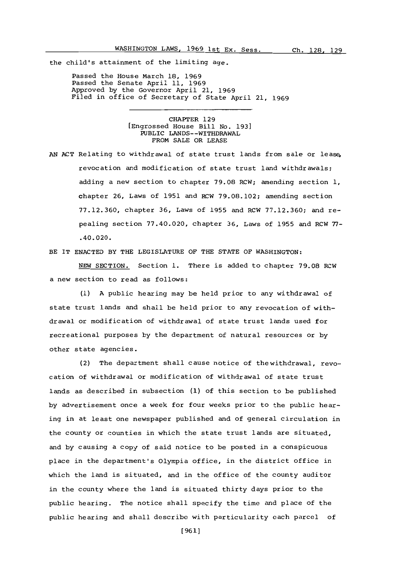the child's attainment of the limiting age.

Passed the House March **18, 1969** Passed the Senate April **11, 1969** Approved **by** the Governor April 21, **1969** Filed in office of Secretary of State April 21, **1969**

> CHAPTER **129** [Engrossed House Bill No. **193]** PUBLIC LANDS- -WITHDRAWAL FROM **SALE** OR **LEASE**

**AN ACT** Relating to withdrawal **of** state trust lands from sale or leasprevocation and modification of state trust land withdrawals; adding a new section to chapter **79.08** RCW; amending section **1,** chapter **26,** Laws of **1951** and RCW **79.08.102;** amending section **77.12.360,** chapter **36,** Laws of **1955** and RCW **77.12.360;** and repealing section **77.40.020,** chapter **36,** Laws of **1955** and RCW **77-** .40.020.

BE IT **ENACTED** BY THE LEGISLATURE OF THE **STATE** OF WASHINGTON:

**NEW** SECTION. Section **1.** There is added to chapter **79.08** RCW a new section to read as follows:

**(1) A** public hearing may be held prior to any withdrawal of state trust lands and shall be held prior to any revocation of withdrawal or modification of withdrawal of state trust lands used for recreational purposes **by** the department of natural resources or **by** other state agencies.

(2) The department shall cause notice of thewithdrawal, revocation of withdrawal or modification of withdrawal of state trust lands as described in subsection **(1)** of this section to be published **by** advertisement once a week for four weeks prior to the public hearing in at least one newspaper published and of general circulation in the county or counties in which the state trust lands are situated, and **by** causing a copy of said notice to be posted in a conspicuous place in the department's Olympia office, in the district office in which the land is situated, and in the office of the county auditor in the county where the land is situated thirty days prior to the public hearing. The notice shall specify the time and place of the public hearing and shall describe with particularity oach parcel of

**[961]**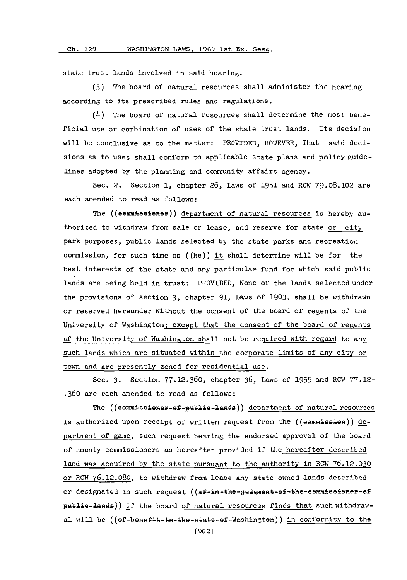state trust lands involved in said hearing.

**(3)** The board of natural resources shall administer the hearing according to its prescribed rules and regulations.

(4) The board of natural resources shall determine the most beneficial use or combination of uses of the state trust lands. Its decision will be conclusive as to the matter: PROVIDED, HOWEVER, That said decisions as to uses shall conform to applicable state plans and policy guidelines adopted **by** the planning and conmunity affairs agency.

Sec. 2. Section **1,** chapter **26,** Laws **of 1951** and ROW **79.08.102** are each amended to read as follows:

The  $($ (ee $m#5$ aiener)) department of natural resources is hereby authorized to withdraw from sale or lease, and reserve for state or city park purposes, public lands selected **by** the state parks and recreation commission, for such time as **((he))** it shall determine will be for the best interests of the state and any particular fund for which said public lands are being held in trust: PROVIDED, None of the lands selected under the provisions of section **3,** chapter **91,** Laws **of 1903,** shall be withdrawn or reserved hereunder without the consent of the board of regents of the University of Washington; except that the consent of the board of regents of the University of Washington shall not be required with regard to any such lands which are situated within the corporate limits of any city or town and are presently zoned for residential use.

Sec. **3.** Section **77.12.360,** chapter **36,** Laws **of 1955** and ROW **77.12- .360** are each amended to read as follows:

The ((eemmissioner-ef-publie-lands)) department of natural resources is authorized upon receipt of written request from the  $((\text{separable}\text{B}_1))$  department of game, such request bearing the endorsed approval of the board of county commissioners as hereafter provided if the hereafter described land was acquired by the state pursuant to the authority in RCW 76.12.030 or ROW **76.12.080,** to withdraw from lease any state owned lands described or designated in such request ((if-in-the-judgment-of-the-eemmissioner-of publie-lands)) if the board of natural resources finds that such withdrawal will be  $((ef-benefit-to-bhe-state-ef-Washingten))$  in conformity to the